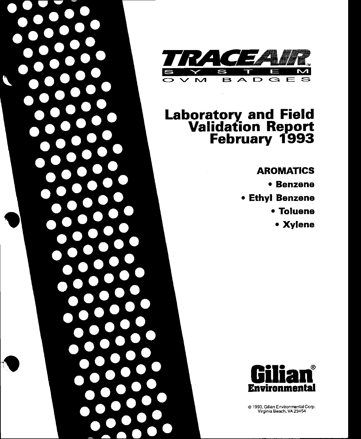

# **Laboratory and Field<br>Validation Report<br>February 1993**

# **AROMATICS**

- Benzene
- Ethyl Benzene
	- Toluene
		- Xylene



© 1993, Gilian Environmental Corp.<br>Virginia Beach, VA 23454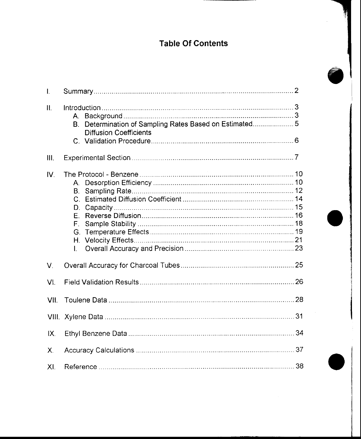# Table Of Contents

| $\mathbf{L}$   |                                                                                             |  |
|----------------|---------------------------------------------------------------------------------------------|--|
| Ш.             | Determination of Sampling Rates Based on Estimated 5<br>B.<br><b>Diffusion Coefficients</b> |  |
| III.           |                                                                                             |  |
| IV.            | B.<br>D.<br>F.<br>F.<br>T.                                                                  |  |
| V.             |                                                                                             |  |
| VI.            |                                                                                             |  |
| VII.           |                                                                                             |  |
|                |                                                                                             |  |
| IX.            |                                                                                             |  |
| $\mathsf{X}$ . |                                                                                             |  |
| XI.            |                                                                                             |  |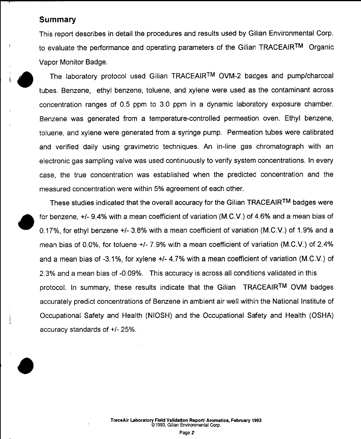### **Summary**

This report describes in detail the procedures and results used by Gilian Environmental Corp. to evaluate the performance and operating parameters of the Gilian TRACEAIRTM Organic Vapor Monitor Badge.

The laboratory protocol used Gilian TRACEAIRTM OVM-2 badges and pump/charcoal tubes. Benzene. ethyl benzene, toluene, and xylene were used as the contaminant across concentration ranges of 0.5 ppm to 3.0 ppm in a dynamic laboratory exposure chamber. Benzene was generated from a temperature-controlled permeation oven. Ethyl benzene, toluene, and xylene were generated from a syringe pump. Permeation tubes were calibrated and verified daily using gravimetric techniques. An in-line gas chromatograph with an electronic gas sampling valve was used continuously to verify system concentrations. In every case, the true concentration was established when the predicted concentration and the measured concentration were within 5% agreement of each other.

These studies indicated that the overall accuracy for the Gilian TRACEAIR™ badges were for benzene, +/- 9.4% with a mean coefficient of variation (M.C.V.) of 4.6% and a mean bias of 0.17%, for ethyl benzene +/- 3.8% with a mean coefficient of variation (M.C.V.) of 1.9% and a mean bias of 0.0%, for toluene +/- 7.9% with a mean coefficient of variation (M.C.V.) of 2.4% and a mean bias of -3.1%, for xylene +/- 4.7% with a mean coefficient of variation (M.C.V.) of 2.3% and a mean bias of -0.09%. This accuracy is across all conditions validated in this protocol. In summary, these results indicate that the Gilian TRACEAIRTM OVM badges accurately predict concentrations of Benzene in ambient air well within the National Institute of Occupational Safety and Health (NIOSH) and the Occupational Safety and Health (OSHA) accuracy standards of +/- 25%.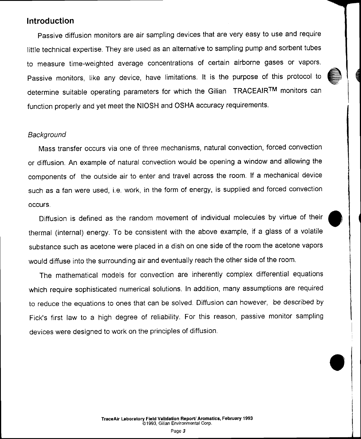# lntroduction

Passive diffusion monitors are air sampling devices that are very easy to use and require litle technical expertise. They are used as an alternative to sampling pump and sorbent tubes to measure time-weighted average concentrations of certain airborne gases or vapors. Passive monitors, like any device, have limitations. It is the purpose of this protocol to determine suitable operating parameters for which the Gilian TRACEAIRTM monitors can function properly and yet meet the NIOSH and OSHA accuracy requirements.

### Background

Mass transfer occurs via one of three mechanisms, natural convection, forced convection or diffusion. An example of natural convection would be opening a window and allowing the comoonents of the outside air to enter and travel across the room. lf a mechanical device such as a fan were used, i.e. work, in the form of energy, is supplied and forced convection occurs.

Diffusion is defined as the random movement of individual molecules by virtue of their thermal (internal) energy. To be consistent with the above example, if a glass of a volatile substance such as acetone were placed in a dish on one side of the room the acetone vapors would diffuse into the surrounding air and eventually reach the other side of the room.

The mathematical models for convection are inherently complex differential equations which require sophisticated numerical solutions. ln addition, many assumptions are required to reduce the equations to ones that can be solved. Diffusion can however, be described by Fick's first law to a high degree of reliability. For this reason, passive monitor sampling devices were designed to work on the principles of diffusion.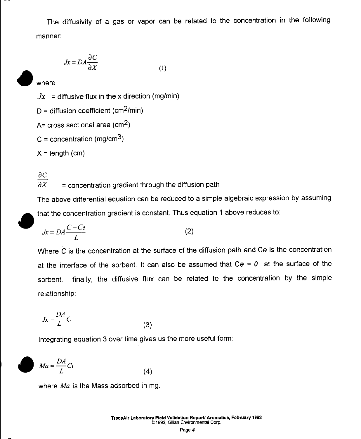The diffusivity of a gas or vapor can be related to the concentration in the following manner:

$$
Jx = DA \frac{\partial C}{\partial X}
$$
 (1)

where

 $Jx =$  diffusive flux in the x direction (mg/min)

 $D =$  diffusion coefficient (cm<sup>2</sup>/min)

A=  $cross$  sectional area ( $cm<sup>2</sup>$ )

 $C =$  concentration (mg/cm<sup>3</sup>)

 $X = length (cm)$ 

# $\partial C$

 $\overline{\partial X}$  $=$  concentration gradient through the diffusion path

The above differential equation can be reduced to a simple algebraic expression by assuming that the concentration gradient is constant. Thus equation 1 above reduces to:

$$
Jx = DA \frac{C - Ce}{L}
$$
 (2)

Where C is the concentration at the surface of the diffusion path and Ce is the concentration at the interface of the sorbent. It can also be assumed that  $Ce = 0$  at the surface of the finally, the diffusive flux can be related to the concentration by the simple sorbent. relationship:

$$
Jx = \frac{DA}{L}C\tag{3}
$$

Integrating equation 3 over time gives us the more useful form:

$$
Ma = \frac{DA}{L}Ct
$$
 (4)

where Ma is the Mass adsorbed in mg.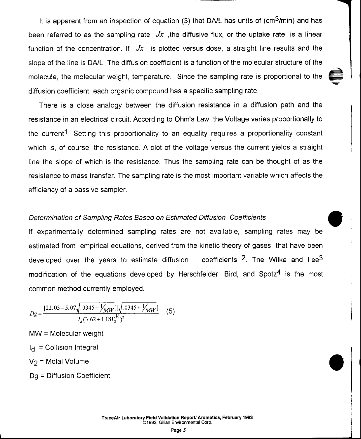It is apparent from an inspection of equation (3) that DA/L has units of  $\text{(cm}^3\text{/min)}$  and has been referred to as the sampling rate.  $Jx$ , the diffusive flux, or the uptake rate, is a linear function of the concentration. If  $Jx$  is plotted versus dose, a straight line results and the slope of the line is DA/L. The diffusion coefficient is a function of the molecular structure of the molecule, the molecular weight, temperature. Since the sampling rate is proportional to the diffusion coefficient, each organic compound has a specific sampling rate.

There is a close analogy between the diffusion resistance in a diffusion path and the resistance in an electrical circuit. According to Ohm's Law, the Voltage varies proportionally to the current<sup>1</sup>. Setting this proportionality to an equality requires a proportionality constant which is, of course, the resistance. A plot of the voltage versus the current yields a straight line the slope of which is the resistance. Thus the sampling rate can be thought of as the resistance to mass transfer. The sampling rate is the most important variable which affects the efficiency of a passive sampler.

### Determination of Sampling Rafes Based on Estimated Diffusion Coefficients

lf experimentally determined sampling rates are not available, sampling rates may be estimated from empirical equations, derived from the kinetic theory of gases that have been developed over the years to estimate diffusion coefficients  $2$ . The Wilke and Lee $3$ modification of the equations developed by Herschfelder, Bird, and Spotz<sup>4</sup> is the most common method currently employed.

$$
Dg = \frac{[22.03 - 5.07\sqrt{0.0345 + \frac{1}{MM}}][\sqrt{0.0345 + \frac{1}{MM}}]}{I_d(3.62 + 1.18V_2^{1/5})^2}
$$
 (5)

MW = Molecular weight

 $I_{\text{el}}$  = Collision Integral

 $V_2$  = Molal Volume

Dg = Diffusion Coefficient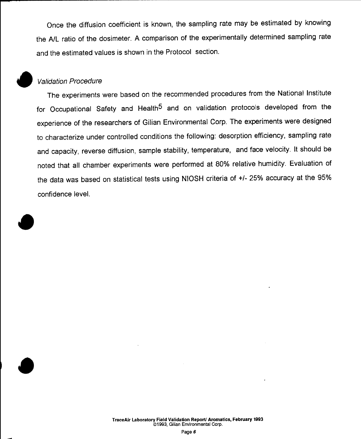Once the diffusion coefficient is known, the sampling rate may be estimated by knowing the A/L ratio of the dosimeter. A comparison of the experimentally determined sampling rate and the estimated values is shown in the Protocol section.

### **Validation Procedure**

The experiments were based on the recommended procedures from the National Institute for Occupational Safety and Health<sup>5</sup> and on validation protocols developed from the experience of the researchers of Gilian Environmental Corp. The experiments were designed to characterize under controlled conditions the following: desorption efficiency, sampling rate and capacity, reverse diffusion, sample stability, temperature, and face velocity. It should be noted that all chamber experiments were performed at 80% relative humidity. Evaluation of the data was based on statistical tests using NIOSH criteria of +/- 25% accuracy at the 95% confidence level.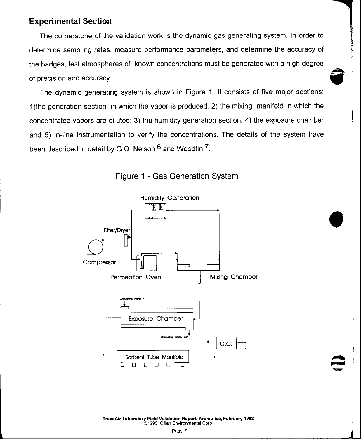# Experimental Section

The cornerstone of the validation work is the dynamic gas generating system. ln order to determine sampling rates, measure performance parameters, and determine the accuracy of the badges, test atmospheres of known concentrations must be generated with a high degree of precision and accuracy.

The dynamic generating system is shown in Figure 1. lt consists of five major sections: 1)the generation section, in which the vapor is produced; 2) the mixing manifold in which the concentrated vapors are diluted; 3) the humidity generation section; 4) the exposure chamber and 5) in-line instrumentation to verify the concentrations. The details of the system have been described in detail by G.O. Nelson <sup>6</sup> and Woodfin 7.





TraceAir Laboratory Field Validation Report/ Aromatics, February 1993 o'1993, Gilian Environmental Corp.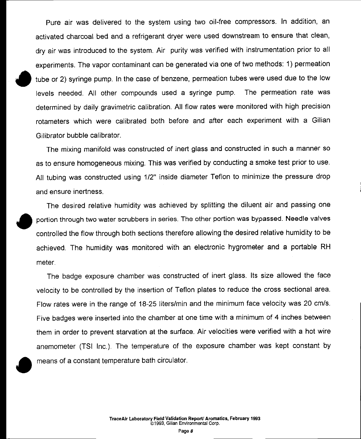Pure air was delivered to the system using two oil-free compressors. In addition, an activated charcoal bed and a refrigerant dryer were used downstream to ensure that clean. dry air was introduced to the system. Air purity was verified with instrumentation prior to all experiments. The vapor contaminant can be generated via one of two methods: 1) permeation tube or 2) syringe pump. In the case of benzene, permeation tubes were used due to the low levels needed. All other compounds used a syringe pump. The permeation rate was determined by daily gravimetric calibration. All flow rates were monitored with high precision rotameters which were calibrated both before and after each experiment with a Gilian Gilibrator bubble calibrator.

The mixing manifold was constructed of inert glass and constructed in such a manner so as to ensure homogeneous mixing. This was verified by conducting a smoke test prior to use. All tubing was constructed using 1/2" inside diameter Teflon to minimize the pressure drop and ensure inertness.

The desired relative humidity was achieved by splitting the diluent air and passing one portion through two water scrubbers in series. The other portion was bypassed. Needle valves controlled the flow through both sections therefore allowing the desired relative humidity to be achieved. The humidity was monitored with an electronic hygrometer and a portable RH meter.

The badge exposure chamber was constructed of inert glass. Its size allowed the face velocity to be controlled by the insertion of Teflon plates to reduce the cross sectional area. Flow rates were in the range of 18-25 liters/min and the minimum face velocity was 20 cm/s. Five badges were inserted into the chamber at one time with a minimum of 4 inches between them in order to prevent starvation at the surface. Air velocities were verified with a hot wire anemometer (TSI Inc.). The temperature of the exposure chamber was kept constant by means of a constant temperature bath circulator.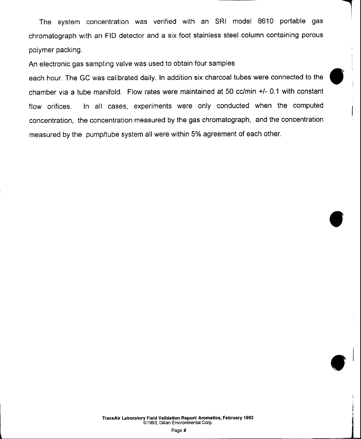The system concentration was verified with an SRI model 8610 portable gas chromatograph with an FID detector and a six foot stainless steel column containing porous polymer packing.

An electronic gas sampling valve was used to obtain four samples

each hour. The GC was calibrated daily. In addition six charcoal tubes were connected to the chamber via a tube manifold. Flow rates were maintained at 50 cc/min +l- 0.1 with constant flow orifices. In all cases, experiments were only conducted when the computed concentration, the concentration measured by the gas chromatograph, and the concentration measured by the pump/tube system all were within 5% agreement of each other.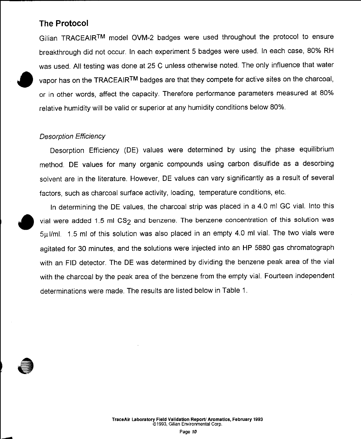# **The Protocol**

Gilian TRACEAIRTM model OVM-2 badges were used throughout the protocol to ensure breakthrough did not occur. In each experiment 5 badges were used. In each case, 80% RH was used. All testing was done at 25 C unless otherwise noted. The only influence that water vapor has on the TRACEAIRTM badges are that they compete for active sites on the charcoal. or in other words, affect the capacity. Therefore performance parameters measured at 80% relative humidity will be valid or superior at any humidity conditions below 80%.

### **Desorption Efficiency**

Desorption Efficiency (DE) values were determined by using the phase equilibrium method. DE values for many organic compounds using carbon disulfide as a desorbing solvent are in the literature. However, DE values can vary significantly as a result of several factors, such as charcoal surface activity, loading, temperature conditions, etc.

In determining the DE values, the charcoal strip was placed in a 4.0 ml GC vial. Into this vial were added 1.5 ml CS<sub>2</sub> and benzene. The benzene concentration of this solution was 5µl/ml. 1.5 ml of this solution was also placed in an empty 4.0 ml vial. The two vials were agitated for 30 minutes, and the solutions were injected into an HP 5880 gas chromatograph with an FID detector. The DE was determined by dividing the benzene peak area of the vial with the charcoal by the peak area of the benzene from the empty vial. Fourteen independent determinations were made. The results are listed below in Table 1.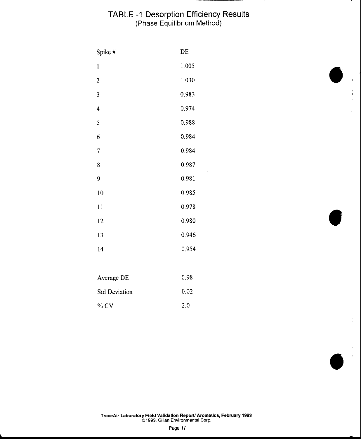# TABLE -1 Desorption Efficiency Results<br>(Phase Equilibrium Method)

 $\ddot{\phantom{a}}$ 

| Spike #          | DE    |
|------------------|-------|
| 1                | 1.005 |
| $\boldsymbol{2}$ | 1.030 |
| 3                | 0.983 |
| $\overline{4}$   | 0.974 |
| 5                | 0.988 |
| 6                | 0.984 |
| 7                | 0.984 |
| 8                | 0.987 |
| 9                | 0.981 |
| 10               | 0.985 |
| $\bar{1}$        | 0.978 |
| 12<br>ï          | 0.980 |
| 13               | 0.946 |
| 14               | 0.954 |
|                  |       |

| Average DE           | O 98 |
|----------------------|------|
| <b>Std Deviation</b> | 0.02 |
| $\%$ CV              | 20   |

TraceAir Laboratory Field Validation Report/ Aromatics, February 1993<br>©1993, Gilian Environmental Corp.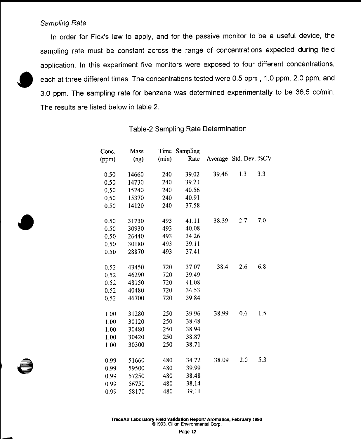### Sampling Rate

In order for Fick's law to apply, and for the passive monitor to be a useful device, the sampling rate must be constant across the range of concentrations expected during field application. In this experiment five monitors were exposed to four different concentrations, each at three different times. The concentrations tested were 0.5 ppm, 1.0 ppm, 2.0 ppm, and 3.0 ppm. The sampling rate for benzene was determined experimentally to be 36.5 cc/min. The results are listed below in table 2.

|       | Time  |                   |       |          |                       |
|-------|-------|-------------------|-------|----------|-----------------------|
| (ng)  | (min) | Rate              |       |          |                       |
| 14660 | 240   | 39.02             | 39.46 | 1.3      | 3.3                   |
| 14730 | 240   | 39.21             |       |          |                       |
| 15240 | 240   | 40.56             |       |          |                       |
| 15370 | 240   | 40.91             |       |          |                       |
| 14120 | 240   | 37.58             |       |          |                       |
| 31730 | 493   | 41.11             | 38.39 | 2.7      | 7.0                   |
| 30930 | 493   | 40.08             |       |          |                       |
| 26440 | 493   | 34.26             |       |          |                       |
| 30180 | 493   | 39.11             |       |          |                       |
| 28870 | 493   | 37.41             |       |          |                       |
| 43450 | 720   | 37.07             | 38.4  | 2.6      | 6.8                   |
| 46290 | 720   | 39.49             |       |          |                       |
| 48150 | 720   | 41.08             |       |          |                       |
| 40480 | 720   | 34.53             |       |          |                       |
| 46700 | 720   | 39.84             |       |          |                       |
| 31280 | 250   | 39.96             | 38.99 | 0.6      | 1.5                   |
| 30120 | 250   | 38.48             |       |          |                       |
| 30480 |       | 38.94             |       |          |                       |
| 30420 | 250   | 38.87             |       |          |                       |
| 30300 | 250   | 38.71             |       |          |                       |
| 51660 | 480   | 34.72             | 38.09 | 2.0      | 5.3                   |
| 59500 |       | 39.99             |       |          |                       |
| 57250 |       | 38.48             |       |          |                       |
| 56750 | 480   | 38.14             |       |          |                       |
| 58170 | 480   | 39.11             |       |          |                       |
|       | Mass  | 250<br>480<br>480 |       | Sampling | Average Std. Dev. %CV |

Table-2 Sampling Rate Determination

 $\sim$  $\ddot{\phantom{a}}$ 

 $\sim$ 

 $\overline{a}$ 

TraceAir Laboratory Field Validation Report/ Aromatics, February 1993 @1993, Gilian Environmental Corp.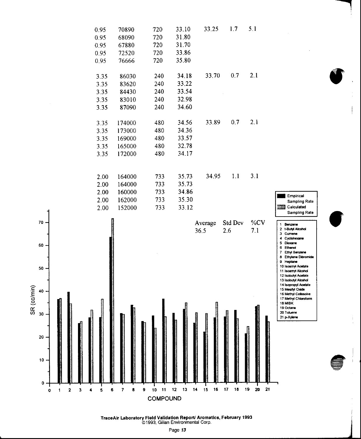

TraceAir Laboratory Field Validation Report/ Aromatics, February 1993 @1993, Gilian Environmental Corp.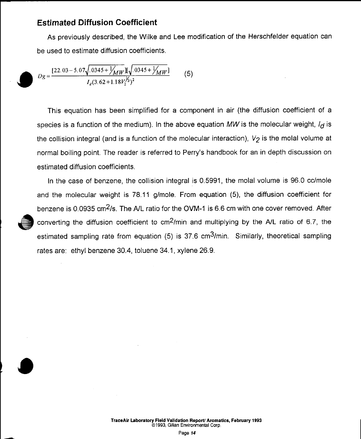### **Estimated Diffusion Coefficient**

As previously described, the Wilke and Lee modification of the Herschfelder equation can be used to estimate diffusion coefficients.

$$
Dg = \frac{[22.03 - 5.07\sqrt{.0345 + \frac{1}{MM}}\sqrt{.0345 + \frac{1}{MM}}]}{I_d(3.62 + 1.18V_2^{y_3})^2}
$$
(5)

This equation has been simplified for a component in air (the diffusion coefficient of a species is a function of the medium). In the above equation MW is the molecular weight,  $I_{\mathbf{d}}$  is the collision integral (and is a function of the molecular interaction),  $V_2$  is the molal volume at normal boiling point. The reader is referred to Perry's handbook for an in depth discussion on estimated diffusion coefficients.

In the case of benzene, the collision integral is 0.5991, the molal volume is 96.0 cc/mole and the molecular weight is 78.11 g/mole. From equation (5), the diffusion coefficient for benzene is 0.0935 cm<sup>2</sup>/s. The A/L ratio for the OVM-1 is 6.6 cm with one cover removed. After converting the diffusion coefficient to cm<sup>2</sup>/min and multiplying by the A/L ratio of 6.7, the estimated sampling rate from equation (5) is 37.6 cm<sup>3</sup>/min. Similarly, theoretical sampling rates are: ethyl benzene 30.4, toluene 34.1, xylene 26.9.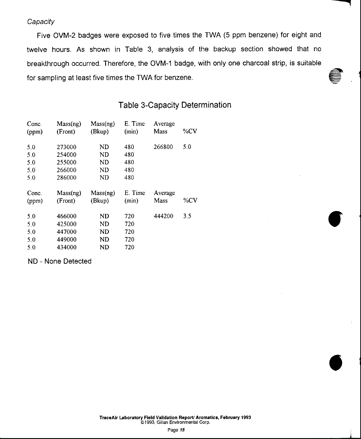**Capacity** 

Five OVM-2 badges were exposed to five times the TWA (5 ppm benzene) for eight and twelve hours. As shown in Table 3, analysis of the backup section showed that no breakthrough occurred. Therefore, the OVM-1 badge, with only one charcoal strip, is suitable for sampling at least five times the TWA for benzene.

# Table 3-Capacity Determination

| Conc.<br>(ppm)           | Mass(ng)<br>(Front)                  | Mass(ng)<br>(Bkup)       | E. Time<br>(min)         | Average<br>Mass | %CV    |
|--------------------------|--------------------------------------|--------------------------|--------------------------|-----------------|--------|
| 5.0<br>5.0<br>5.0<br>5.0 | 273000<br>254000<br>255000<br>266000 | ND<br>ND<br>ND<br>ND     | 480<br>480<br>480<br>480 | 266800          | 5.0    |
| 5.0<br>Conc.<br>(ppm)    | 286000<br>Mass(ng)<br>(Front)        | ND<br>Mass(ng)<br>(Bkup) | 480<br>E. Time<br>(min)  | Average<br>Mass | $\%CV$ |
| 5.0<br>5.0               | 466000                               | ND                       | 720                      | 444200          | 3.5    |

ND - None Detected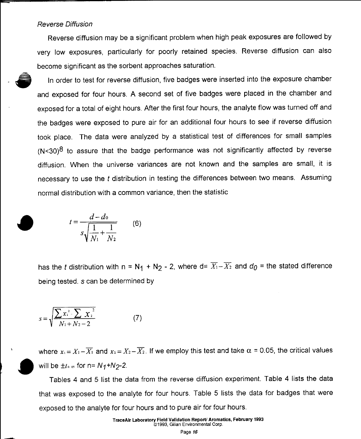### **Reverse Diffusion**

Reverse diffusion may be a significant problem when high peak exposures are followed by very low exposures, particularly for poorly retained species. Reverse diffusion can also become significant as the sorbent approaches saturation.

In order to test for reverse diffusion, five badges were inserted into the exposure chamber and exposed for four hours. A second set of five badges were placed in the chamber and exposed for a total of eight hours. After the first four hours, the analyte flow was turned off and the badges were exposed to pure air for an additional four hours to see if reverse diffusion took place. The data were analyzed by a statistical test of differences for small samples  $(N<sub>30</sub>)<sup>8</sup>$  to assure that the badge performance was not significantly affected by reverse diffusion. When the universe variances are not known and the samples are small, it is necessary to use the t distribution in testing the differences between two means. Assuming normal distribution with a common variance, then the statistic

$$
t = \frac{d - d_0}{s\sqrt{\frac{1}{N_1} + \frac{1}{N_2}}} \tag{6}
$$

has the t distribution with  $n = N_1 + N_2 - 2$ , where  $d = \overline{X_1} - \overline{X_2}$  and  $d_0$  = the stated difference being tested, s can be determined by

$$
s = \sqrt{\frac{\sum x_i^2 - \sum x_i^2}{N_1 + N_2 - 2}} \tag{7}
$$

where  $x_1 = X_1 - \overline{X_1}$  and  $x_2 = X_2 - \overline{X_2}$ . If we employ this test and take  $\alpha = 0.05$ , the critical values will be  $\pm t_0$  is for n=  $N_1+N_2-2$ .

Tables 4 and 5 list the data from the reverse diffusion experiment. Table 4 lists the data that was exposed to the analyte for four hours. Table 5 lists the data for badges that were exposed to the analyte for four hours and to pure air for four hours.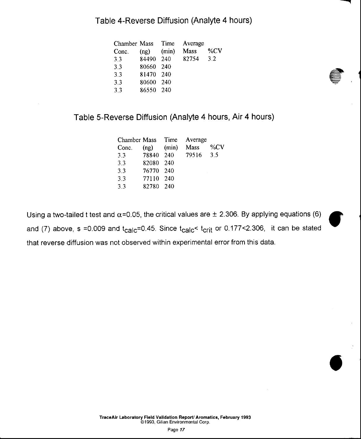# Table 4-Reverse Diffusion (Analyte 4 hours)

| Chamber Mass Time |                |       | Average |        |
|-------------------|----------------|-------|---------|--------|
| Conc.             | $(ng)$ $(min)$ |       | Mass    | $\%CV$ |
| 33                | 84490 240      |       | 82754   | 3.2    |
| 3.3               | 80660          | 240   |         |        |
| 3.3               | 81470 240      |       |         |        |
| 3.3               | 80600          | - 240 |         |        |
| 3.3               | 86550 240      |       |         |        |
|                   |                |       |         |        |

# Table S-Reverse Diffusion (Analyte 4hours, Air 4 hours)

|       |     | Average                                                                |        |
|-------|-----|------------------------------------------------------------------------|--------|
| (nq)  |     | Mass                                                                   | % $CV$ |
|       |     | 79516                                                                  | 3.5    |
| 82080 | 240 |                                                                        |        |
|       |     |                                                                        |        |
| 77110 |     |                                                                        |        |
| 82780 |     |                                                                        |        |
|       |     | Chamber Mass Time<br>(min)<br>78840 240<br>76770 240<br>- 240<br>- 240 |        |

Using a two-tailed t test and  $\alpha$ =0.05, the critical values are  $\pm$  2.306. By applying equations (6) and (7) above, s =0.009 and  $t_{\text{calc}}$ =0.45. Since  $t_{\text{calc}}$   $t_{\text{crit}}$  or 0.177 < 2.306, it can be stated that reverse diffusion was not observed within experimental error from this data.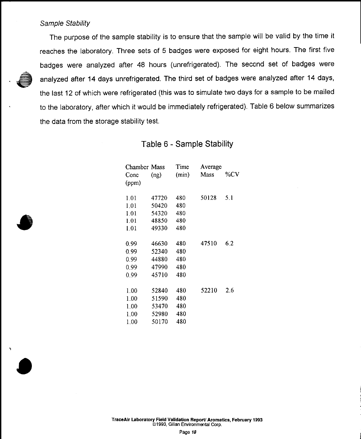### Sample Stability

The purpose of the sample stability is to ensure that the sample will be valid by the time it reaches the laboratory. Three sets of 5 badges were exposed for eight hours. The first five badges were analyzed after 48 hours (unrefrigerated). The second set of badges were analyzed after 14 days unrefrigerated. The third set of badges were analyzed after 14 days, the last 12 of which were refrigerated (this was to simulate two days for a sample to be mailed to the laboratory, after which it would be immediately refrigerated). Table 6 below summarizes the data from the storage stability test.

### Table 6 - Sample Stability

| Chamber Mass |       | Time  | Average |     |
|--------------|-------|-------|---------|-----|
| Conc         | (ng)  | (min) | Mass    | %CV |
| (ppm)        |       |       |         |     |
| 1.01         | 47720 | 480   | 50128   | 5.1 |
| 1.01         | 50420 | 480   |         |     |
| 1.01         | 54320 | 480   |         |     |
| 1.01         | 48850 | 480   |         |     |
| 1.01         | 49330 | 480   |         |     |
| 0.99         | 46630 | 480   | 47510   | 6.2 |
| 0.99         | 52340 | 480   |         |     |
| 0.99         | 44880 | 480   |         |     |
| 0.99         | 47990 | 480   |         |     |
| 0.99         | 45710 | 480   |         |     |
| 1.00         | 52840 | 480   | 52210   | 2.6 |
| 1.00         | 51590 | 480   |         |     |
| 1.00         | 53470 | 480   |         |     |
| 1.00         | 52980 | 480   |         |     |
| 1.00         | 50170 | 480   |         |     |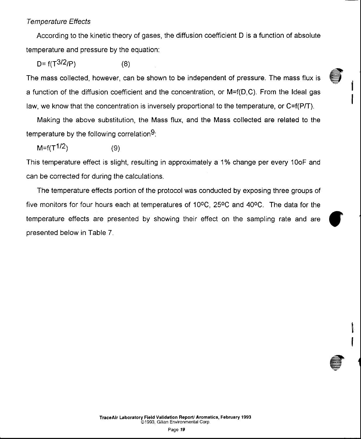### Temperature Effects

According to the kinetic theory of gases, the diffusion coefficient D is a function of absolute temperature and pressure by the equation:

$$
D = f(T^{3/2}/P) \tag{8}
$$

The mass collected, however, can be shown to be independent of pressure. The mass flux is a function of the diffusion coefficient and the concentration, or M=f(D,C). From the ldeal gas law, we know that the concentration is inversely proportional to the temperature, or C=f(P/T).

Making the above substitution, the Mass flux, and the Mass collected are related to the temperature by the following correlation<sup>9</sup>:

 $M = f(T^{1/2})$  (9)

This temperature effect is slight, resulting in approximately a 1% change per every 10oF and can be corrected for during the calculations.

The temperature effects portion of the protocol was conducted by exposing three groups of five monitors for four hours each at temperatures of  $10^{\circ}$ C,  $25^{\circ}$ C and  $40^{\circ}$ C. The data for the temperature effects are presented by showing their effect on the sampling rate and are presented below in Table 7.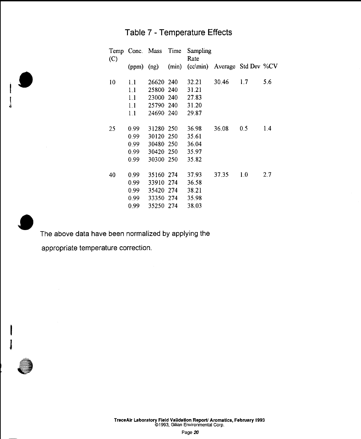# Table 7 - Temperature Effects

| (C) |                | Temp Conc. Mass Time | Sampling<br>Rate                   |       |     |     |
|-----|----------------|----------------------|------------------------------------|-------|-----|-----|
|     | $(ppm)$ $(ng)$ |                      | (min) (cc\min) Average Std Dev %CV |       |     |     |
| 10  | 1.1            | 26620 240            | 32.21                              | 30.46 | 1.7 | 5.6 |
|     | 1.1            | 25800 240            | 31.21                              |       |     |     |
|     | 1.1            | 23000 240            | 27.83                              |       |     |     |
|     | 1.1            | 25790 240            | 31.20                              |       |     |     |
|     | 1.1            | 24690 240            | 29.87                              |       |     |     |
| 25  | 0.99           | 31280 250            | 36.98                              | 36.08 | 0.5 | 1.4 |
|     | 0.99           | 30120 250            | 35.61                              |       |     |     |
|     | 0.99           | 30480 250            | 36.04                              |       |     |     |
|     | 0.99           | 30420 250            | 35.97                              |       |     |     |
|     | 0.99           | 30300 250            | 35.82                              |       |     |     |
| 40  | 0.99           | 35160 274            | 37.93                              | 37.35 | 1.0 | 2.7 |
|     | 0.99           | 33910 274            | 36.58                              |       |     |     |
|     | 0.99           | 35420 274            | 38.21                              |       |     |     |
|     | 0.99           | 33350 274            | 35.98                              |       |     |     |
|     | 0.99           | 35250 274            | 38.03                              |       |     |     |

The above data have been normalized by applying the

appropriate temperature correction.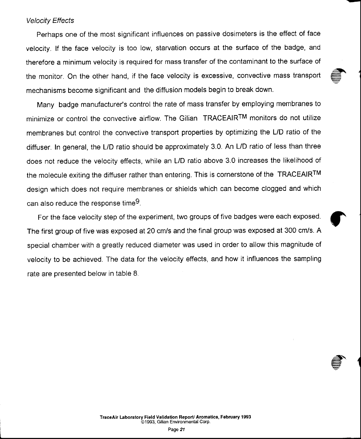### Velocity Effects

Perhaps one of the most significant influences on passive dosimeters is the effect of face velocity. lf the face velocity is too low, starvation occurs at the surface of the badge, and therefore a minimum velocity is required for mass transfer of the contaminant to the surface of the monitor. On the other hand, if the face velocity is excessive, convective mass transport mechanisms become significant and the diffusion models begin to break down.

Many badge manufacturer's control the rate of mass transfer by employing membranes to minimize or control the convective airflow. The Gilian TRACEAIRTM monitors do not utilize membranes but control the convective transport properties by optimizing the L/D ratio of the diffuser. In general, the L/D ratio should be approximately 3.0. An L/D ratio of less than three does not reduce the velocity effects, while an L/D ratio above 3.0 increases the likelihood of the molecule exiting the diffuser rather than entering. This is cornerstone of the TRACEAIRTM design which does not require membranes or shields which can become clogged and which can also reduce the response time9.

For the face velocity step of the experiment, two groups of five badges were each exposed. The first group of five was exposed at 20 cm/s and the final group was exposed at 300 cm/s. A special chamber with a greatly reduced diameter was used in order to allow this magnitude of velocity to be achieved. The data for the velocity effects, and how it influences the sampling rate are presented below in table 8.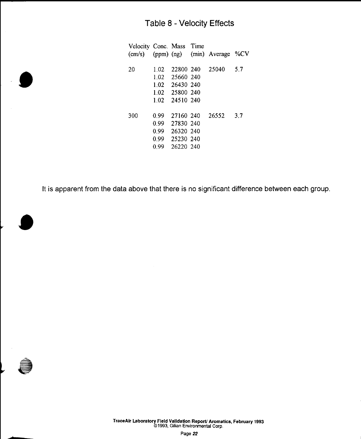# Table 8 - Velocity Effects

| Velocity Conc. Mass Time |                      |                                                                         | (cm/s) (ppm) (ng) (min) Average %CV |     |
|--------------------------|----------------------|-------------------------------------------------------------------------|-------------------------------------|-----|
| 20                       | 1.02                 | 1.02 25660 240<br>1.02 26430 240<br>1.02 25800 240<br>1 02 24510 240    | 22800 240 25040                     | 5.7 |
| 300                      | 0.99<br>0.99<br>0.99 | 27160 240<br>27830 240<br>0.99 26320 240<br>0.99 25230 240<br>26220 240 | 26552                               | 3.7 |

It is apparent from the data above that there is no significant difference between each group.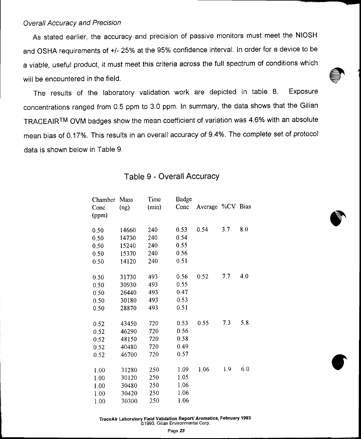### Overall Accuracy and Precision

As stated earlier, the accuracy and precision of passive monitors must meet the NIOSH and OSHA requirements of +/- 25% at the 95% confidence interval. In order for a device to be a viable, useful product, it must meet this criteria across the full spectrum of conditions which will be encountered in the field.

The results of the laboratory validation work are depicted in table 8. Exposure concentrations ranged from 0.5 ppm to 3.0 ppm. ln summary, the data shows that the Gilian TRACEAIRTM OVM badges show the mean coefficient of variation was 4.6% with an absolute mean bias of 0.17%. This results in an overall accuracy of 9.4%. The complete set of protocol data is shown below in Table 9.

| Chamber | Mass  | Time  | Badge |                  |     |     |
|---------|-------|-------|-------|------------------|-----|-----|
| Conc    | (ng)  | (min) | Conc  | Average %CV Bias |     |     |
| (ppm)   |       |       |       |                  |     |     |
|         |       |       |       |                  |     |     |
| 0.50    | 14660 | 240   | 0.53  | 0.54             | 3.7 | 8.0 |
| 0.50    | 14730 | 240   | 0.54  |                  |     |     |
| 0.50    | 15240 | 240   | 0.55  |                  |     |     |
| 0.50    | 15370 | 240   | 0.56  |                  |     |     |
| 0.50    | 14120 | 240   | 0.51  |                  |     |     |
|         |       |       |       |                  |     |     |
| 0.50    | 31730 | 493   | 0.56  | 0.52             | 7.7 | 4.0 |
| 0.50    | 30930 | 493   | 0.55  |                  |     |     |
| 0.50    | 26440 | 493   | 0.47  |                  |     |     |
| 0.50    | 30180 | 493   | 0.53  |                  |     |     |
| 0.50    | 28870 | 493   | 0.51  |                  |     |     |
|         |       |       |       |                  |     |     |
| 0.52    | 43450 | 720   | 0.53  | 0.55             | 7.3 | 5.8 |
| 0.52    | 46290 | 720   | 0.56  |                  |     |     |
| 0.52    | 48150 | 720   | 0.58  |                  |     |     |
| 0.52    | 40480 | 720   | 0.49  |                  |     |     |
| 0.52    | 46700 | 720   | 0.57  |                  |     |     |
|         |       |       |       |                  |     |     |
| 1,00    | 31280 | 250   | 1.09  | 1.06             | 1.9 | 6.0 |
| 1.00    | 30120 | 250   | 1.05  |                  |     |     |
| 1.00    | 30480 | 250   | 1.06  |                  |     |     |
| 1.00    | 30420 | 250   | 1.06  |                  |     |     |
| 1.00    | 30300 | 250   | 1.06  |                  |     |     |
|         |       |       |       |                  |     |     |

# Table 9 - Overall Accuracy

TraceAir Laboratory Field Validation Report/ Aromatics, February 1993 61993. Gilian Environmental Corp.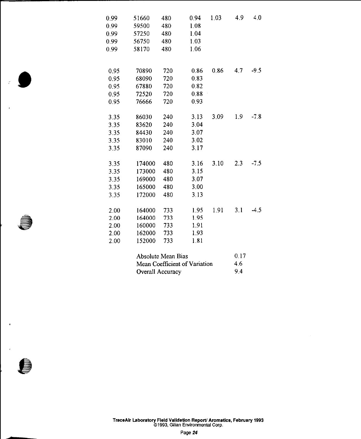| 0.99 | 51660                         | 480                | 0.94 | 1.03 | 4.9  | 4.0    |
|------|-------------------------------|--------------------|------|------|------|--------|
| 0.99 | 59500                         | 480                | 1.08 |      |      |        |
| 0.99 | 57250                         | 480                | 1.04 |      |      |        |
| 0.99 | 56750                         | 480                | 1.03 |      |      |        |
| 0.99 | 58170                         | 480                | 1.06 |      |      |        |
| 0.95 | 70890                         | 720                | 0.86 | 0.86 | 4.7  | $-9.5$ |
| 0.95 | 68090                         | 720                | 0.83 |      |      |        |
| 0.95 | 67880                         | 720                | 0.82 |      |      |        |
| 0.95 | 72520                         | 720                | 0.88 |      |      |        |
| 0.95 | 76666                         | 720                | 0.93 |      |      |        |
| 3.35 | 86030                         | 240                | 3.13 | 3.09 | 1.9  | $-7.8$ |
| 3.35 | 83620                         | 240                | 3.04 |      |      |        |
| 3.35 | 84430                         | 240                | 3.07 |      |      |        |
| 3.35 | 83010                         | 240                | 3.02 |      |      |        |
| 3.35 | 87090                         | 240                | 3.17 |      |      |        |
| 3.35 | 174000                        | 480                | 3.16 | 3.10 | 2.3  | $-7.5$ |
| 3.35 | 173000                        | 480                | 3.15 |      |      |        |
| 3.35 | 169000                        | 480                | 3.07 |      |      |        |
| 3.35 | 165000                        | 480                | 3.00 |      |      |        |
| 3.35 | 172000                        | 480                | 3.13 |      |      |        |
| 2.00 | 164000                        | 733                | 1.95 | 1.91 | 3.1  | $-4.5$ |
| 2.00 | 164000                        | 733                | 1.95 |      |      |        |
| 2.00 | 160000                        | 733                | 1.91 |      |      |        |
| 2.00 | 162000                        | 733                | 1.93 |      |      |        |
| 2.00 | 152000                        | 733                | 1.81 |      |      |        |
|      |                               | Absolute Mean Bias |      |      | 0.17 |        |
|      | Mean Coefficient of Variation | 4.6                |      |      |      |        |

Overall Accuracy

9.4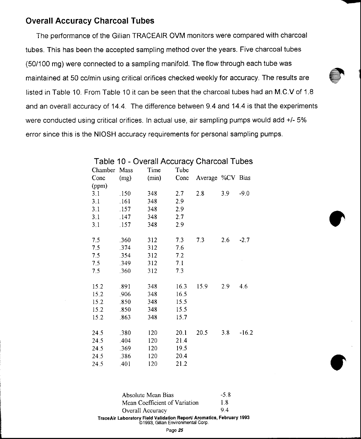# Overall Accuracy Gharcoal Tubes

The performance of the Gilian TRACEAIR OVM monitors were compared with charcoal tubes. This has been the accepted sampling method over the years. Five charcoal tubes (50/100 mg) were connected to a sampling manifold. The flow through each tube was maintained at 50 cc/min using critical orifices checked weekly for accuracy. The results are listed in Table 10. From Table 10 it can be seen that the charcoal tubes had an M.C.V of 1.8 and an overall accuracy of 14.4. The difference between 9.4 and 14.4 is that the experiments were conducted using critical orifices. In actual use, air sampling pumps would add +/- 5% error since this is the NIOSH accuracy requirements for personal sampling pumps.

| Chamber | Mass | Time  | Tube |                  |     |         |
|---------|------|-------|------|------------------|-----|---------|
| Conc    | (mg) | (min) | Conc | Average %CV Bias |     |         |
| (ppm)   |      |       |      |                  |     |         |
| 3.1     | .150 | 348   | 2.7  | 2.8              | 3.9 | $-9.0$  |
| 3.1     | .161 | 348   | 2.9  |                  |     |         |
| 3.1     | .157 | 348   | 2.9  |                  |     |         |
| 3.1     | .147 | 348   | 2.7  |                  |     |         |
| 3.1     | .157 | 348   | 2.9  |                  |     |         |
|         |      |       |      |                  |     |         |
| 7.5     | .360 | 312   | 7.3  | 7.3              | 2.6 | $-2.7$  |
| 7.5     | .374 | 312   | 7.6  |                  |     |         |
| 7.5     | .354 | 312   | 7.2  |                  |     |         |
| 7.5     | .349 | 312   | 7.1  |                  |     |         |
| 7.5     | .360 | 312   | 7.3  |                  |     |         |
|         |      |       |      |                  |     |         |
| 15.2    | .891 | 348   | 16.3 | 15.9             | 2.9 | 4.6     |
| 15.2    | .906 | 348   | 16.5 |                  |     |         |
| 15.2    | .850 | 348   | 15.5 |                  |     |         |
| 15.2    | .850 | 348   | 15.5 |                  |     |         |
| 15.2    | .863 | 348   | 15.7 |                  |     |         |
|         |      |       |      |                  |     |         |
| 24.5    | .380 | 120   | 20.1 | 20.5             | 38  | $-16.2$ |
| 24.5    | .404 | 120   | 21.4 |                  |     |         |
| 24.5    | .369 | 120   | 19.5 |                  |     |         |
| 24.5    | .386 | 120   | 20.4 |                  |     |         |
| 24.5    | .401 | 120   | 21.2 |                  |     |         |

Table 10 - Overall Accuracy Charcoal Tubes

| Absolute Mean Bias                                                                                         | $-5.8$ |  |  |  |
|------------------------------------------------------------------------------------------------------------|--------|--|--|--|
| Mean Coefficient of Variation                                                                              | 1 8    |  |  |  |
| Overall Accuracy                                                                                           | 94     |  |  |  |
| TraceAir Laboratory Field Validation Report/ Aromatics, February 1993<br>©1993, Gilian Environmental Corp. |        |  |  |  |

Page 25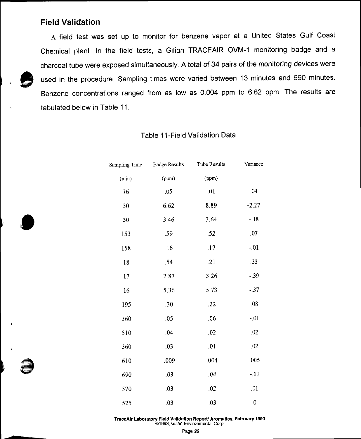# **Field Validation**

A field test was set up to monitor for benzene vapor at a United States Gulf Coast Chemical plant. In the field tests, a Gilian TRACEAIR OVM-1 monitoring badge and a charcoal tube were exposed simultaneously. A total of 34 pairs of the monitoring devices were used in the procedure. Sampling times were varied between 13 minutes and 690 minutes. Benzene concentrations ranged from as low as 0.004 ppm to 6.62 ppm. The results are tabulated below in Table 11.

| Sampling Time | <b>Badge Results</b> | Tube Results | Variance |
|---------------|----------------------|--------------|----------|
| (min)         | (ppm)                | (ppm)        |          |
| 76            | .05                  | .01          | .04      |
| 30            | 6.62                 | 8.89         | $-2.27$  |
| 30            | 3.46                 | 3.64         | $-.18$   |
| 153           | .59                  | .52          | .07      |
| 158           | .16                  | .17          | $-.01$   |
| 18            | .54                  | .21          | .33      |
| 17            | 2.87                 | 3.26         | $-0.39$  |
| 16            | 5.36                 | 5.73         | $-0.37$  |
| 195           | .30                  | .22          | .08      |
| 360           | .05                  | .06          | $-.01$   |
| 510           | .04                  | .02          | .02      |
| 360           | .03                  | .01          | .02      |
| 610           | .009                 | .004         | .005     |
| 690           | .03                  | .04          | $-.01$   |
| 570           | .03                  | .02          | .01      |
| 525           | .03                  | .03          | 0        |

### Table 11-Field Validation Data

TraceAir Laboratory Field Validation Report/ Aromatics, February 1993 @1993, Gilian Environmental Corp.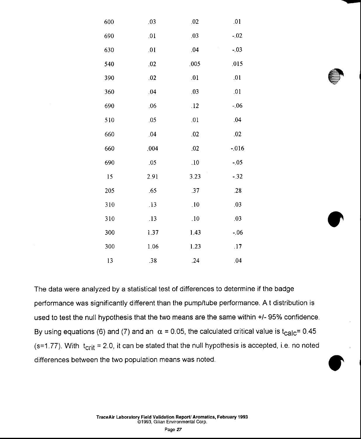| 600 | .03  | .02  | .01      |
|-----|------|------|----------|
| 690 | .01  | .03  | $-.02$   |
| 630 | .01  | .04  | $-.03$   |
| 540 | .02  | .005 | .015     |
| 390 | .02  | .01  | .01      |
| 360 | .04  | .03  | .01      |
| 690 | .06  | .12  | $-06$    |
| 510 | .05  | .01  | .04      |
| 660 | .04  | .02  | .02      |
| 660 | .004 | .02  | $-0.016$ |
| 690 | .05  | .10  | $-.05$   |
| 15  | 2.91 | 3.23 | $-0.32$  |
| 205 | .65  | .37  | .28      |
| 310 | .13  | .10  | .03      |
| 310 | .13  | .10  | .03      |
| 300 | 1.37 | 1.43 | $-06$    |
| 300 | 1.06 | 1.23 | .17      |
| 13  | .38  | .24  | .04      |

The data were analyzed by a statistical test of differences to determine if the badge performance was significantly different than the pump/tube performance. A t distribution is used to test the null hypothesis that the two means are the same within +/- 95% confidence. By using equations (6) and (7) and an  $\alpha$  = 0.05, the calculated critical value is t<sub>calc</sub>= 0.45 (s=1.77). With  $t_{crit}$  = 2.0, it can be stated that the null hypothesis is accepted, i.e. no noted differences between the two population means was noted.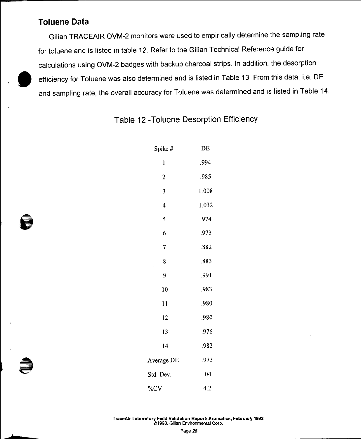# **Toluene Data**

Gilian TRACEAIR OVM-2 monitors were used to empirically determine the sampling rate for toluene and is listed in table 12. Refer to the Gilian Technical Reference guide for calculations using OVM-2 badges with backup charcoal strips. In addition, the desorption efficiency for Toluene was also determined and is listed in Table 13. From this data, i.e. DE and sampling rate, the overall accuracy for Toluene was determined and is listed in Table 14.

Table 12 - Toluene Desorption Efficiency

| Spike #      | DE    |  |  |
|--------------|-------|--|--|
| l            | .994  |  |  |
| $\mathbf{c}$ | .985  |  |  |
| 3            | 1.008 |  |  |
| 4            | 1.032 |  |  |
| 5            | .974  |  |  |
| 6            | .973  |  |  |
| 7            | .882  |  |  |
| 8<br>k,      | .883  |  |  |
| 9            | .991  |  |  |
| 10           | .983  |  |  |
| 11           | .980  |  |  |
| 12           | .980  |  |  |
| 13           | .976  |  |  |
| 14           | .982  |  |  |
| Average DE   | .973  |  |  |
| Std. Dev.    | .04   |  |  |
| %CV          | 4.2   |  |  |

TraceAir Laboratory Field Validation Report/ Aromatics, February 1993 @1993, Gilian Environmental Corp.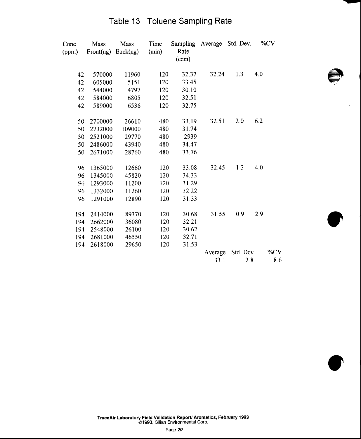| Conc.<br>(ppm) | Mass<br>Front(ng) | Mass<br>Back(np) | Time<br>(min) | Sampling Average<br>Rate<br>(ccm) |         | Std. Dev. | %CV    |
|----------------|-------------------|------------------|---------------|-----------------------------------|---------|-----------|--------|
| 42             | 570000            | 11960            | 120           | 32.37                             | 32.24   | 1.3       | 4.0    |
| 42             | 605000            | 5151             | 120           | 33.45                             |         |           |        |
| 42             | 544000            | 4797             | 120           | 30.10                             |         |           |        |
| 42             | 584000            | 6805             | 120           | 32.51                             |         |           |        |
| 42             | 589000            | 6536             | 120           | 32.75                             |         |           |        |
| 50             | 2700000           | 26610            | 480           | 33.19                             | 32.51   | 2.0       | 6.2    |
| 50             | 2732000           | 109000           | 480           | 31.74                             |         |           |        |
| 50             | 2521000           | 29770            | 480           | 2939                              |         |           |        |
| 50             | 2486000           | 43940            | 480           | 34.47                             |         |           |        |
| 50             | 2671000           | 28760            | 480           | 33.76                             |         |           |        |
| 96             | 1365000           | 12660            | 120           | 33.08                             | 32.45   | 1.3       | 4.0    |
| 96             | 1345000           | 45820            | 120           | 34.33                             |         |           |        |
| 96             | 1293000           | 11200            | 120           | 31.29                             |         |           |        |
| 96             | 1332000           | 11260            | 120           | 32.22                             |         |           |        |
| 96             | 1291000           | 12890            | 120           | 31.33                             |         |           |        |
| 194            | 2414000           | 89370            | 120           | 30.68                             | 31.55   | 0.9       | 2.9    |
| 194            | 2662000           | 36080            | 120           | 32.21                             |         |           |        |
| 194            | 2548000           | 26100            | 120           | 30.62                             |         |           |        |
| 194            | 2681000           | 46550            | 120           | 32.71                             |         |           |        |
| 194            | 2618000           | 29650            | 120           | 31.53                             |         |           |        |
|                |                   |                  |               |                                   | Average | Std. Dev  | $\%CV$ |
|                |                   |                  |               |                                   | 33.1    | 2.8       | 8.6    |

# Table 13 - Toluene Sampling Rate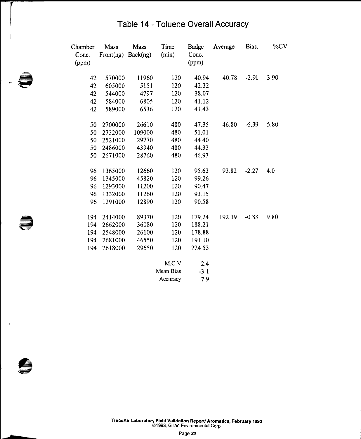# Table 14 - Toluene Overall Accuracy

| Chamber<br>Conc.<br>(ppm) | Mass<br>Front(ng) Back(ng) | Mass   | Time<br>(min) | Badge<br>Conc.<br>(ppm) | Average | Bias.   | %CV  |
|---------------------------|----------------------------|--------|---------------|-------------------------|---------|---------|------|
| 42                        | 570000                     | 11960  | 120           | 40.94                   | 40.78   | $-2.91$ | 3.90 |
| 42                        | 605000                     | 5151   | 120           | 42.32                   |         |         |      |
| 42                        | 544000                     | 4797   | 120           | 38.07                   |         |         |      |
| 42                        | 584000                     | 6805   | 120           | 41.12                   |         |         |      |
| 42                        | 589000                     | 6536   | 120           | 41.43                   |         |         |      |
| 50                        | 2700000                    | 26610  | 480           | 47.35                   | 46.80   | $-6.39$ | 5.80 |
| 50                        | 2732000                    | 109000 | 480           | 51.01                   |         |         |      |
| 50                        | 2521000                    | 29770  | 480           | 44.40                   |         |         |      |
| 50                        | 2486000                    | 43940  | 480           | 44.33                   |         |         |      |
| 50                        | 2671000                    | 28760  | 480           | 46.93                   |         |         |      |
| 96                        | 1365000                    | 12660  | 120           | 95.63                   | 93.82   | $-2.27$ | 4.0  |
| 96                        | 1345000                    | 45820  | 120           | 99.26                   |         |         |      |
| 96                        | 1293000                    | 11200  | 120           | 90.47                   |         |         |      |
| 96                        | 1332000                    | 11260  | 120           | 93.15                   |         |         |      |
| 96                        | 1291000                    | 12890  | 120           | 90.58                   |         |         |      |
| 194                       | 2414000                    | 89370  | 120           | 179.24                  | 192.39  | $-0.83$ | 9.80 |
| 194                       | 2662000                    | 36080  | 120           | 188.21                  |         |         |      |
| 194                       | 2548000                    | 26100  | 120           | 178.88                  |         |         |      |
| 194                       | 2681000                    | 46550  | 120           | 191.10                  |         |         |      |
| 194                       | 2618000                    | 29650  | 120           | 224.53                  |         |         |      |
|                           |                            |        | M.C.V         | 2.4                     |         |         |      |
|                           |                            |        | Macon Disc    | 21                      |         |         |      |

Mean Bias  $-3.1$ Accuracy 7.9

TraceAir Laboratory Field Validation Report/ Aromatics, February 1993<br>© 1993, Gilian Environmental Corp.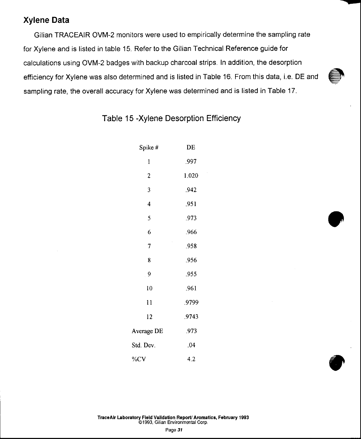# Xylene Data

Gilian TRACEAIR OVM-2 monitors were used to empirically determine the sampling rate for Xylene and is listed in table 15. Refer to the Gilian Technical Reference guide for calculations using OVM-2 badges with backup charcoal strips. In addition, the desorption efficiency for Xylene was also determined and is listed in Table 16. From this data, i.e. DE and sampling rate, the overall accuracy for Xylene was determined and is listed in Table 17.

| Spike #        | DE    |  |  |
|----------------|-------|--|--|
| 1              | .997  |  |  |
| 2              | 1.020 |  |  |
| 3              | .942  |  |  |
| 4              | .951  |  |  |
| 5              | .973  |  |  |
| 6              | .966  |  |  |
| 7              | .958  |  |  |
| 8              | .956  |  |  |
| $\overline{9}$ | .955  |  |  |
| 10             | .961  |  |  |
| 11             | .9799 |  |  |
| 12             | .9743 |  |  |
| Average DE     | .973  |  |  |
| Std. Dev.      | .04   |  |  |
| %CV            | 4.2   |  |  |

# Table 15 -Xylene Desorption Efficiency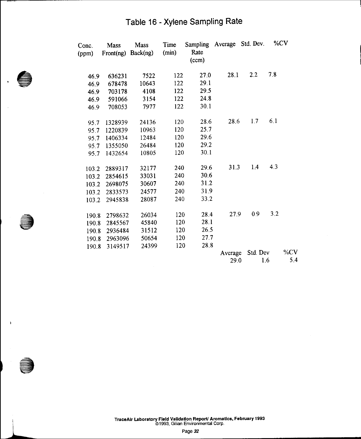# Table 16 - Xylene Sampling Rate

| Conc.<br>(ppm) | Mass<br>Front(ng) | Mass<br>Back(ng) | Time<br>(min) | Sampling Average<br>Rate<br>(ccm) |         | Std. Dev. | %CV    |  |
|----------------|-------------------|------------------|---------------|-----------------------------------|---------|-----------|--------|--|
| 46.9           | 636231            | 7522             | 122           | 27.0                              | 28.1    | 2.2       | 7.8    |  |
| 46.9           | 678478            | 10643            | 122           | 29.1                              |         |           |        |  |
| 46.9           | 703178            | 4108             | 122           | 29.5                              |         |           |        |  |
| 46.9           | 591066            | 3154             | 122           | 24.8                              |         |           |        |  |
| 46.9           | 708053            | 7977             | 122           | 30.1                              |         |           |        |  |
| 95.7           | 1328939           | 24136            | 120           | 28.6                              | 28.6    | 1.7       | 6.1    |  |
| 95.7           | 1220839           | 10963            | 120           | 25.7                              |         |           |        |  |
| 95.7           | 1406334           | 12484            | 120           | 29.6                              |         |           |        |  |
| 95.7           | 1355050           | 26484            | 120           | 29.2                              |         |           |        |  |
| 95.7           | 1432654           | 10805            | 120           | 30.1                              |         |           |        |  |
| 103.2          | 2889317           | 32177            | 240           | 29.6                              | 31.3    | 1.4       | 4.3    |  |
| 103.2          | 2854615           | 33031            | 240           | 30.6                              |         |           |        |  |
| 103.2          | 2698075           | 30607            | 240           | 31.2                              |         |           |        |  |
| 103.2          | 2833573           | 24577            | 240           | 31.9                              |         |           |        |  |
| 103.2          | 2945838           | 28087            | 240           | 33.2                              |         |           |        |  |
| 190.8          | 2798632           | 26034            | 120           | 28.4                              | 27.9    | 0.9       | 3.2    |  |
| 190.8          | 2845567           | 45840            | 120           | 28.1                              |         |           |        |  |
| 190.8          | 2936484           | 31512            | 120           | 26.5                              |         |           |        |  |
| 190.8          | 2963096           | 50654            | 120           | 27.7                              |         |           |        |  |
| 190.8          | 3149517           | 24399            | 120           | 28.8                              |         |           |        |  |
|                |                   |                  |               |                                   | Average | Std. Dev  | % $CV$ |  |
|                |                   |                  |               |                                   | 29.0    | 1.6       | 5.4    |  |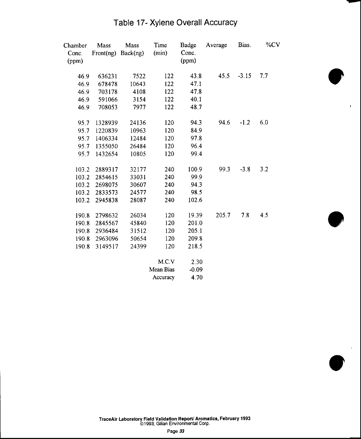| Table 17- Xylene Overall Accuracy |  |  |  |
|-----------------------------------|--|--|--|
|-----------------------------------|--|--|--|

| Chamber<br>Conc.<br>(ppm) | Mass<br>Front(np) | Mass<br>Back(ng) | Time<br>(min) | Badge<br>Conc.<br>(ppm) | Average | Bias.   | $\%CV$ |
|---------------------------|-------------------|------------------|---------------|-------------------------|---------|---------|--------|
|                           |                   |                  |               |                         |         |         |        |
| 46.9                      | 636231            | 7522             | 122           | 43.8                    | 45.5    | $-3.15$ | 7.7    |
| 46.9                      | 678478            | 10643            | 122           | 47.1                    |         |         |        |
| 46.9                      | 703178            | 4108             | 122           | 47.8                    |         |         |        |
| 46.9                      | 591066            | 3154             | 122           | 40.1                    |         |         |        |
| 46.9                      | 708053            | 7977             | 122           | 48.7                    |         |         |        |
| 95.7                      | 1328939           | 24136            | 120           | 94.3                    | 94.6    | $-1.2$  | 6.0    |
| 95.7                      | 1220839           | 10963            | 120           | 84.9                    |         |         |        |
| 95.7                      | 1406334           | 12484            | 120           | 97.8                    |         |         |        |
| 95.7                      | 1355050           | 26484            | 120           | 96.4                    |         |         |        |
| 95.7                      | 1432654           | 10805            | 120           | 99.4                    |         |         |        |
| 103.2                     | 2889317           | 32177            | 240           | 100.9                   | 99.3    | $-3.8$  | 3.2    |
| 103.2                     | 2854615           | 33031            | 240           | 99.9                    |         |         |        |
| 103.2                     | 2698075           | 30607            | 240           | 94.3                    |         |         |        |
| 103.2                     | 2833573           | 24577            | 240           | 98.5                    |         |         |        |
| 103.2                     | 2945838           | 28087            | 240           | 102.6                   |         |         |        |
| 190.8                     | 2798632           | 26034            | 120           | 19.39                   | 205.7   | 7.8     | 4.5    |
| 190.8                     | 2845567           | 45840            | 120           | 201.0                   |         |         |        |
| 190.8                     | 2936484           | 31512            | 120           | 205.1                   |         |         |        |
| 190.8                     | 2963096           | 50654            | 120           | 209.8                   |         |         |        |
| 190.8                     | 3149517           | 24399            | 120           | 218.5                   |         |         |        |
|                           |                   |                  | M.C.V         | 2.30                    |         |         |        |
|                           |                   |                  | Mean Bias     | $-0.09$                 |         |         |        |
|                           |                   |                  | Accuracy      | 4.70                    |         |         |        |

TraceAir Laboratory Field Validation Report/ Aromatics, February 1993<br>©1993, Gilian Environmental Corp.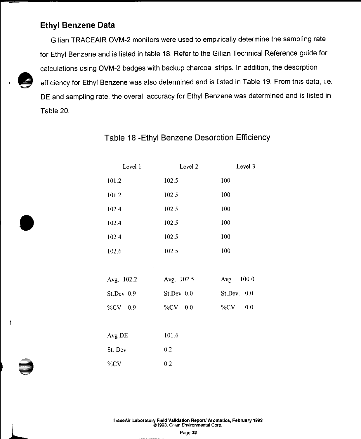# **Ethyl Benzene Data**

Gilian TRACEAIR OVM-2 monitors were used to empirically determine the sampling rate for Ethyl Benzene and is listed in table 18. Refer to the Gilian Technical Reference guide for calculations using OVM-2 badges with backup charcoal strips. In addition, the desorption efficiency for Ethyl Benzene was also determined and is listed in Table 19. From this data, i.e. DE and sampling rate, the overall accuracy for Ethyl Benzene was determined and is listed in Table 20.

| Level 1    | Level 2    | Level 3      |
|------------|------------|--------------|
| 101.2      | 102.5      | 100          |
| 101.2      | 102.5      | 100          |
| 102.4      | 102.5      | 100          |
| 102.4      | 102.5      | 100          |
| 102.4      | 102.5      | 100          |
| 102.6      | 102.5      | 100          |
|            |            |              |
| Avg. 102.2 | Avg. 102.5 | Avg. 100.0   |
| St.Dev 0.9 | St.Dev 0.0 | St. Dev. 0.0 |
| %CV 0.9    | %CV 0.0    | 0.0<br>%CV   |
|            |            |              |
| Avg DE     | 101.6      |              |
| St. Dev    | 0.2        |              |
| %CV        | 0.2        |              |

Table 18 - Ethyl Benzene Desorption Efficiency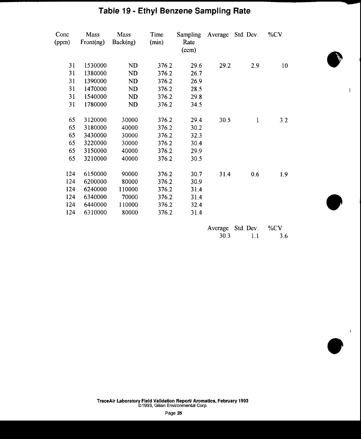# Table 19 - Ethyl Benzene Sampling Rate

| Conc<br>(ppm) | Mass<br>Front(np) | Mass<br>Back(ng) | Time<br>(min) | <b>Sampling</b><br>Rate<br>(ccm) |      | Average Std. Dev. | $\%CV$ |
|---------------|-------------------|------------------|---------------|----------------------------------|------|-------------------|--------|
| 31            | 1530000           | ND               | 376.2         | 29.6                             | 29.2 | 2.9               | 10     |
| 31            | 1380000           | ND               | 376.2         | 26.7                             |      |                   |        |
| 31            | 1390000           | ND               | 376.2         | 26.9                             |      |                   |        |
| 31            | 1470000           | ND.              | 376.2         | 28.5                             |      |                   |        |
| 31            | 1540000           | ND               | 376.2         | 29.8                             |      |                   |        |
| 31            | 1780000           | ND               | 376.2         | 34.5                             |      |                   |        |
| 65            | 3120000           | 30000            | 376.2         | 29.4                             | 30.5 | 1                 | 3.2    |
| 65            | 3180000           | 40000            | 376.2         | 30.2                             |      |                   |        |
| 65            | 3430000           | 30000            | 376.2         | 32.3                             |      |                   |        |
| 65            | 3220000           | 30000            | 376.2         | 30.4                             |      |                   |        |
| 65            | 3150000           | 40000            | 376.2         | 29.9                             |      |                   |        |
| 65            | 3210000           | 40000            | 376.2         | 30.5                             |      |                   |        |
| 124           | 6150000           | 90000            | 376.2         | 30.7                             | 31.4 | 0.6               | 1.9    |
| 124           | 6200000           | 80000            | 376.2         | 30.9                             |      |                   |        |
| 124           | 6240000           | 110000           | 376.2         | 31.4                             |      |                   |        |
| 124           | 6340000           | 70000            | 376.2         | 31.4                             |      |                   |        |
| 124           | 6440000           | 110000           | 376.2         | 32.4                             |      |                   |        |
| 124           | 6310000           | 80000            | 376.2         | 31.4                             |      |                   |        |

|      | Average Std. Dev. | %CV |
|------|-------------------|-----|
| 30.3 | 1.1               | 3.6 |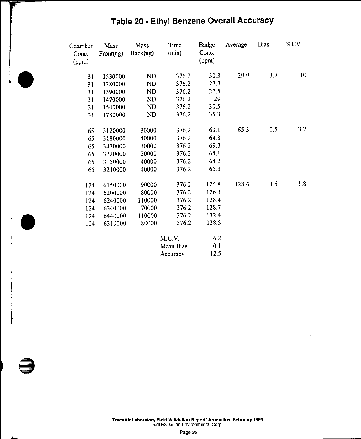| Chamber<br>Conc.<br>(ppm) | Mass<br>Front(ng) | Mass<br>Back(ng) | Time<br>(min) | Badge<br>Conc.<br>(ppm) | Average | Bias.  | %CV |
|---------------------------|-------------------|------------------|---------------|-------------------------|---------|--------|-----|
| 31                        | 1530000           | ND.              | 376.2         | 30.3                    | 29.9    | $-3.7$ | 10  |
| 31                        | 1380000           | ND               | 376.2         | 27.3                    |         |        |     |
| 31                        | 1390000           | ND               | 376.2         | 27.5                    |         |        |     |
| 31                        | 1470000           | <b>ND</b>        | 376.2         | 29                      |         |        |     |
| 31                        | 1540000           | <b>ND</b>        | 376.2         | 30.5                    |         |        |     |
| 31                        | 1780000           | <b>ND</b>        | 376.2         | 35.3                    |         |        |     |
| 65                        | 3120000           | 30000            | 376.2         | 63.1                    | 65.3    | 0.5    | 3.2 |
| 65                        | 3180000           | 40000            | 376.2         | 64.8                    |         |        |     |
| 65                        | 3430000           | 30000            | 376.2         | 69.3                    |         |        |     |
| 65                        | 3220000           | 30000            | 376.2         | 65.1                    |         |        |     |
| 65                        | 3150000           | 40000            | 376.2         | 64.2                    |         |        |     |
| 65                        | 3210000           | 40000            | 376.2         | 65.3                    |         |        |     |
| 124                       | 6150000           | 90000            | 376.2         | 125.8                   | 128.4   | 3.5    | 1.8 |
| 124                       | 6200000           | 80000            | 376.2         | 126.3                   |         |        |     |
| 124                       | 6240000           | 110000           | 376.2         | 128.4                   |         |        |     |
| 124                       | 6340000           | 70000            | 376.2         | 128.7                   |         |        |     |
| 124                       | 6440000           | 110000           | 376.2         | 132.4                   |         |        |     |
| 124                       | 6310000           | 80000            | 376.2         | 128.5                   |         |        |     |
|                           |                   |                  | M.C.V.        | 6.2                     |         |        |     |
|                           |                   |                  | Mean Bias     | 0.1                     |         |        |     |
|                           |                   |                  | Accuracy      | 12.5                    |         |        |     |

# Table 20 - Ethyl Benzene Overall Accuracy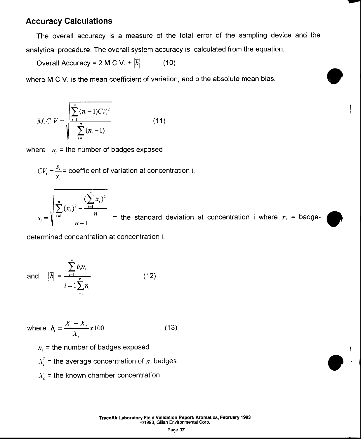# Accuracy Calculations

The overall accuracy is a measure of the total error of the sampling device and the analytical procedure. The overall system accuracy is calculated from the equation:

Overall Accuracy = 2 M.C.V. +  $|\overline{b}|$  (10)

where M.C.V. is the mean coefficient of variation, and b the absolute mean bias.

$$
M.C.V = \sqrt{\frac{\sum_{i=1}^{n} (n_i - 1)CV_i^2}{\sum_{i=1}^{n} (n_i - 1)}}
$$
(11)

where  $n_i$  = the number of badges exposed

 $CV_i = \frac{s_i}{x_i}$  = coefficient of variation at concentration i.

$$
s_i = \sqrt{\frac{\sum_{i=1}^{n} (x_i)^2 - \frac{(\sum_{i=1}^{n} x_i)^2}{n}}{n-1}}
$$
 = the standard deviation at concentration i where  $x_i$  = badge-

determined concentration at concentration i.

and 
$$
|\overline{b}| = \frac{\sum_{i=1}^{n} b_i n_i}{i = 1 \sum_{i=1}^{n} n_i}
$$
 (12)

where  $b_i = \frac{\overline{X_i} - X_c}{X} \times 100$  (13)

 $n_i$  = the number of badges exposed

 $\overline{X}_i$  = the average concentration of  $n_i$  badges

 $X_c$  = the known chamber concentration